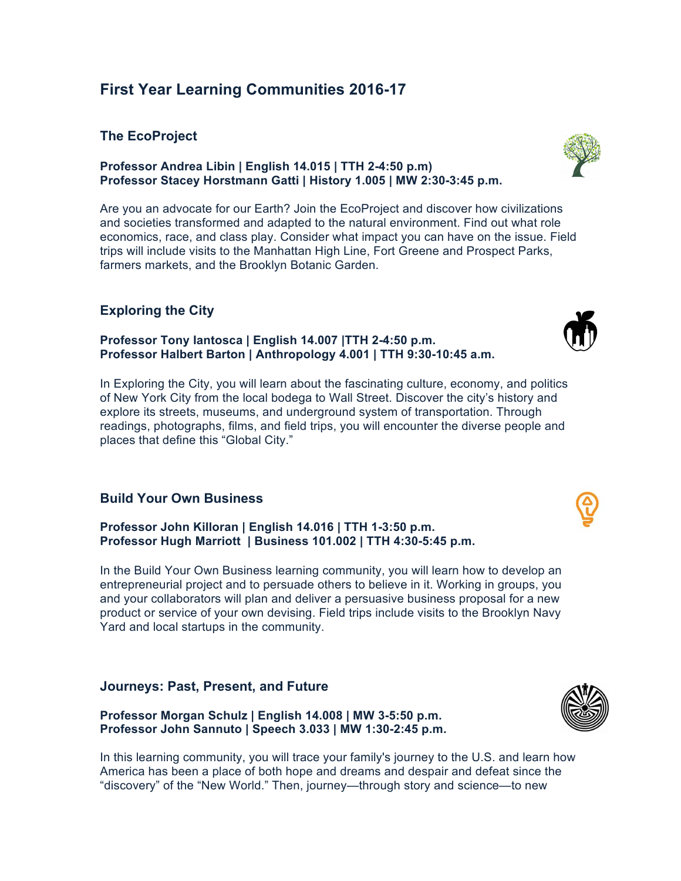# **First Year Learning Communities 2016-17**

### **The EcoProject**

**Professor Andrea Libin | English 14.015 | TTH 2-4:50 p.m) Professor Stacey Horstmann Gatti | History 1.005 | MW 2:30-3:45 p.m.**

Are you an advocate for our Earth? Join the EcoProject and discover how civilizations and societies transformed and adapted to the natural environment. Find out what role economics, race, and class play. Consider what impact you can have on the issue. Field trips will include visits to the Manhattan High Line, Fort Greene and Prospect Parks, farmers markets, and the Brooklyn Botanic Garden.

## **Exploring the City**

#### **Professor Tony Iantosca | English 14.007 |TTH 2-4:50 p.m. Professor Halbert Barton | Anthropology 4.001 | TTH 9:30-10:45 a.m.**

In Exploring the City, you will learn about the fascinating culture, economy, and politics of New York City from the local bodega to Wall Street. Discover the city's history and explore its streets, museums, and underground system of transportation. Through readings, photographs, films, and field trips, you will encounter the diverse people and places that define this "Global City."

## **Build Your Own Business**

**Professor John Killoran | English 14.016 | TTH 1-3:50 p.m. Professor Hugh Marriott | Business 101.002 | TTH 4:30-5:45 p.m.**

In the Build Your Own Business learning community, you will learn how to develop an entrepreneurial project and to persuade others to believe in it. Working in groups, you and your collaborators will plan and deliver a persuasive business proposal for a new product or service of your own devising. Field trips include visits to the Brooklyn Navy Yard and local startups in the community.

#### **Journeys: Past, Present, and Future**

**Professor Morgan Schulz | English 14.008 | MW 3-5:50 p.m. Professor John Sannuto | Speech 3.033 | MW 1:30-2:45 p.m.**

In this learning community, you will trace your family's journey to the U.S. and learn how America has been a place of both hope and dreams and despair and defeat since the "discovery" of the "New World." Then, journey—through story and science—to new







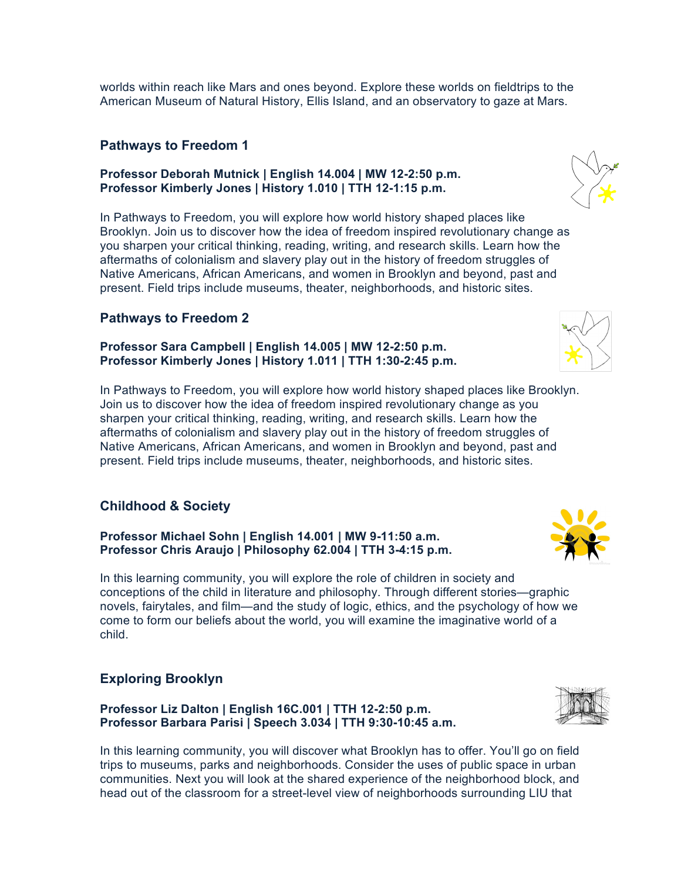worlds within reach like Mars and ones beyond. Explore these worlds on fieldtrips to the American Museum of Natural History, Ellis Island, and an observatory to gaze at Mars.

## **Pathways to Freedom 1**

#### **Professor Deborah Mutnick | English 14.004 | MW 12-2:50 p.m. Professor Kimberly Jones | History 1.010 | TTH 12-1:15 p.m.**

In Pathways to Freedom, you will explore how world history shaped places like Brooklyn. Join us to discover how the idea of freedom inspired revolutionary change as you sharpen your critical thinking, reading, writing, and research skills. Learn how the aftermaths of colonialism and slavery play out in the history of freedom struggles of Native Americans, African Americans, and women in Brooklyn and beyond, past and present. Field trips include museums, theater, neighborhoods, and historic sites.

# **Pathways to Freedom 2**

#### **Professor Sara Campbell | English 14.005 | MW 12-2:50 p.m. Professor Kimberly Jones | History 1.011 | TTH 1:30-2:45 p.m.**

In Pathways to Freedom, you will explore how world history shaped places like Brooklyn. Join us to discover how the idea of freedom inspired revolutionary change as you sharpen your critical thinking, reading, writing, and research skills. Learn how the aftermaths of colonialism and slavery play out in the history of freedom struggles of Native Americans, African Americans, and women in Brooklyn and beyond, past and present. Field trips include museums, theater, neighborhoods, and historic sites.

# **Childhood & Society**

**Professor Michael Sohn | English 14.001 | MW 9-11:50 a.m. Professor Chris Araujo | Philosophy 62.004 | TTH 3-4:15 p.m.**

In this learning community, you will explore the role of children in society and conceptions of the child in literature and philosophy. Through different stories—graphic novels, fairytales, and film—and the study of logic, ethics, and the psychology of how we come to form our beliefs about the world, you will examine the imaginative world of a child.

## **Exploring Brooklyn**

**Professor Liz Dalton | English 16C.001 | TTH 12-2:50 p.m. Professor Barbara Parisi | Speech 3.034 | TTH 9:30-10:45 a.m.**

In this learning community, you will discover what Brooklyn has to offer. You'll go on field trips to museums, parks and neighborhoods. Consider the uses of public space in urban communities. Next you will look at the shared experience of the neighborhood block, and head out of the classroom for a street-level view of neighborhoods surrounding LIU that